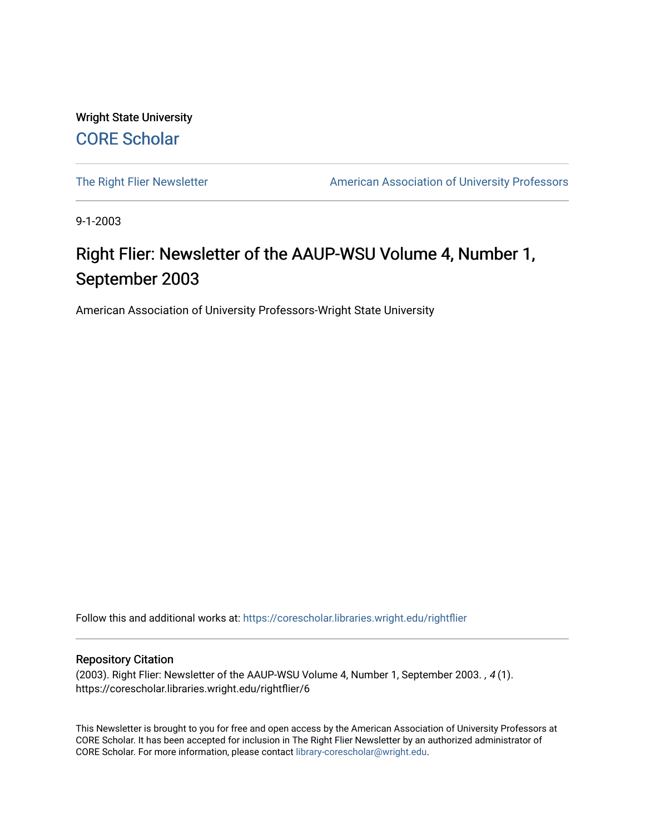Wright State University [CORE Scholar](https://corescholar.libraries.wright.edu/)

[The Right Flier Newsletter](https://corescholar.libraries.wright.edu/rightflier) **American Association of University Professors** 

9-1-2003

# Right Flier: Newsletter of the AAUP-WSU Volume 4, Number 1, September 2003

American Association of University Professors-Wright State University

Follow this and additional works at: [https://corescholar.libraries.wright.edu/rightflier](https://corescholar.libraries.wright.edu/rightflier?utm_source=corescholar.libraries.wright.edu%2Frightflier%2F6&utm_medium=PDF&utm_campaign=PDFCoverPages) 

#### Repository Citation

(2003). Right Flier: Newsletter of the AAUP-WSU Volume 4, Number 1, September 2003. , 4 (1). https://corescholar.libraries.wright.edu/rightflier/6

This Newsletter is brought to you for free and open access by the American Association of University Professors at CORE Scholar. It has been accepted for inclusion in The Right Flier Newsletter by an authorized administrator of CORE Scholar. For more information, please contact [library-corescholar@wright.edu](mailto:library-corescholar@wright.edu).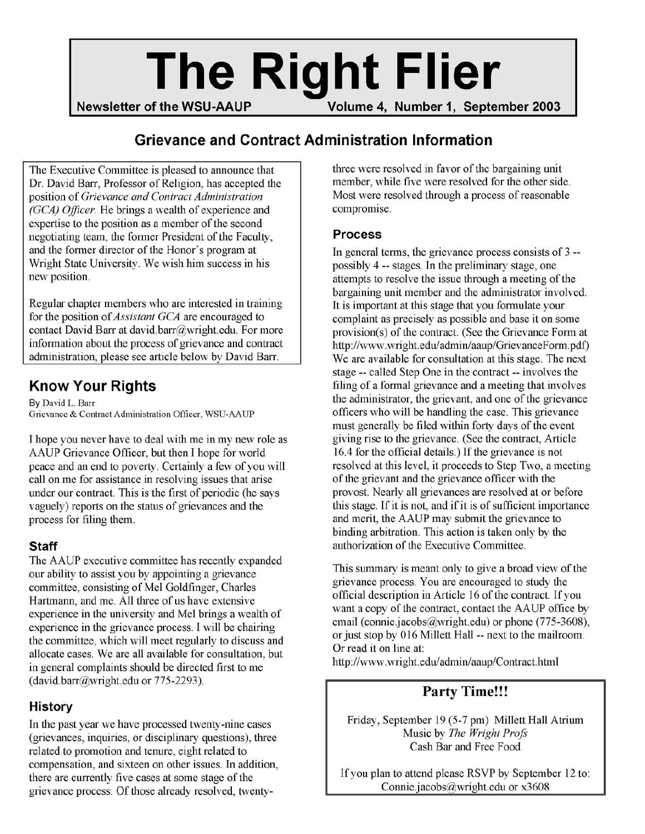# **The Right Flier**

**Newsletter of the WSU-AAUP Volume 4, Number 1, September 2003** 

#### **Grievance and Contract Administration Information**

The Executive Committee is pleased to announce that Dr. David Barr, Professor of Religion, has accepted the position of *Grievance and Contract Administration (GCA) Officer.* He brings a wealth of experience and expertise to the position as a member of the second negotiating team, the former President of the Faculty, and the former director of the Honor's program at Wright State University. We wish him success in his new position.

Regular chapter members who are interested in training for the position of*Assistant GCA* are encouraged to contact David Barr at david.barr@wright.edu. For more information about the process of grievance and contract administration, please see article below by David Barr.

# **Know Your Rights**

By David L. Barr Grievance & Contract Administration Officer, WSU-AAUP

I hope you never have to deal with me in my new role as AAUP Grievance Officer, but then I hope for world peace and an end to poverty. Certainly a few of you will call on me for assistance in resolving issues that arise under our contract. This is the first of periodic (he says vaguely) reports on the status of grievances and the process for filing them.

#### **Staff**

The AAUP executive committee has recently expanded our ability to assist you by appointing a grievance committee, consisting of Mel Goldfinger, Charles Hartmann, and me. All three of us have extensive experience in the university and Mel brings a wealth of experience in the grievance process. I will be chairing the committee, which will meet regularly to discuss and allocate cases. We are all available for consultation, but in general complaints should be directed first to me (david.barr@wright.edu or 775-2293).

#### **History**

In the past year we have processed twenty-nine cases (grievances, inquiries, or disciplinary questions), three related to promotion and tenure, eight related to compensation, and sixteen on other issues. In addition, there are currently five cases at some stage of the grievance process. Of those already resolved, twentythree were resolved in favor of the bargaining unit member, while five were resolved for the other side. Most were resolved through a process of reasonable compromise.

#### **Process**

In general terms, the grievance process consists of 3 possibly 4 -- stages. In the preliminary stage, one attempts to resolve the issue through a meeting of the bargaining unit member and the administrator involved. It is important at this stage that you formulate your complaint as precisely as possible and base it on some provision(s) of the contract. (See the Grievance Form at http://www.wright.edu/admin/aaup/GrievanceForm.pdf) We are available for consultation at this stage. The next stage -- called Step One in the contract -- involves the filing of a formal grievance and a meeting that involves the administrator, the grievant, and one of the grievance officers who will be handling the case. This grievance must generally be filed within forty days of the event giving rise to the grievance. (See the contract, Article 16.4 for the official details.) If the grievance is not resolved at this level, it proceeds to Step Two, a meeting of the grievant and the grievance officer with the provost. Nearly all grievances are resolved at or before this stage. If it is not, and if it is of sufficient importance and merit, the AAUP may submit the grievance to binding arbitration. This action is taken only by the authorization of the Executive Committee.

This summary is meant only to give a broad view of the grievance process. You are encouraged to study the official description in Article 16 of the contract. If you want a copy of the contract, contact the AAUP office by email (connie.jacobs@wright.edu) or phone (775-3608), or just stop by 016 Millett Hall -- next to the mailroom. Or read it on line at:

http://www.wright.edu/admin/aaup/Contract.html

### **Party Time!!!**

Friday, September 19 (5-7 pm) Millett Hall Atrium Music by *The Wright Proft* Cash Bar and Free Food

If you plan to attend please RSVP by September 12 to: Conniejacobs@wright.edu or x3608